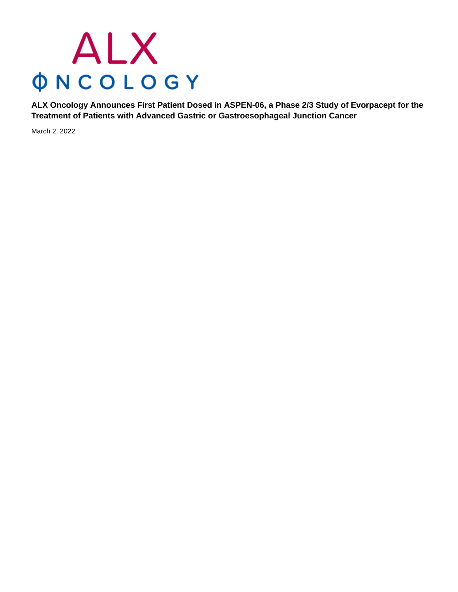# ALX **ONCOLOGY**

**ALX Oncology Announces First Patient Dosed in ASPEN-06, a Phase 2/3 Study of Evorpacept for the Treatment of Patients with Advanced Gastric or Gastroesophageal Junction Cancer**

March 2, 2022